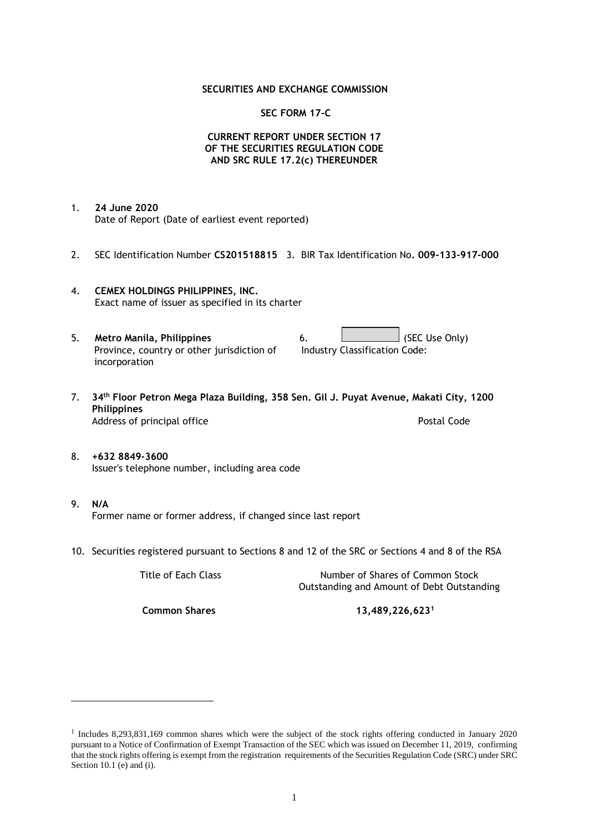### **SECURITIES AND EXCHANGE COMMISSION**

### **SEC FORM 17-C**

## **CURRENT REPORT UNDER SECTION 17 OF THE SECURITIES REGULATION CODE AND SRC RULE 17.2(c) THEREUNDER**

- 1. **24 June 2020** Date of Report (Date of earliest event reported)
- 2. SEC Identification Number **CS201518815** 3. BIR Tax Identification No**. 009-133-917-000**
- 4. **CEMEX HOLDINGS PHILIPPINES, INC.** Exact name of issuer as specified in its charter
- 5. **Metro Manila, Philippines** 6. **Consumers 6.** (SEC Use Only) Province, country or other jurisdiction of incorporation
- 7. **34th Floor Petron Mega Plaza Building, 358 Sen. Gil J. Puyat Avenue, Makati City, 1200 Philippines** Address of principal office **Postal Code** Postal Code
- 8. **+632 8849-3600** Issuer's telephone number, including area code
- 9. **N/A** Former name or former address, if changed since last report
- 10. Securities registered pursuant to Sections 8 and 12 of the SRC or Sections 4 and 8 of the RSA

Title of Each Class Number of Shares of Common Stock Outstanding and Amount of Debt Outstanding

**Common Shares 13,489,226,623<sup>1</sup>**

Industry Classification Code:

<sup>1</sup> Includes 8,293,831,169 common shares which were the subject of the stock rights offering conducted in January 2020 pursuant to a Notice of Confirmation of Exempt Transaction of the SEC which was issued on December 11, 2019, confirming that the stock rights offering is exempt from the registration requirements of the Securities Regulation Code (SRC) under SRC Section 10.1 (e) and (i).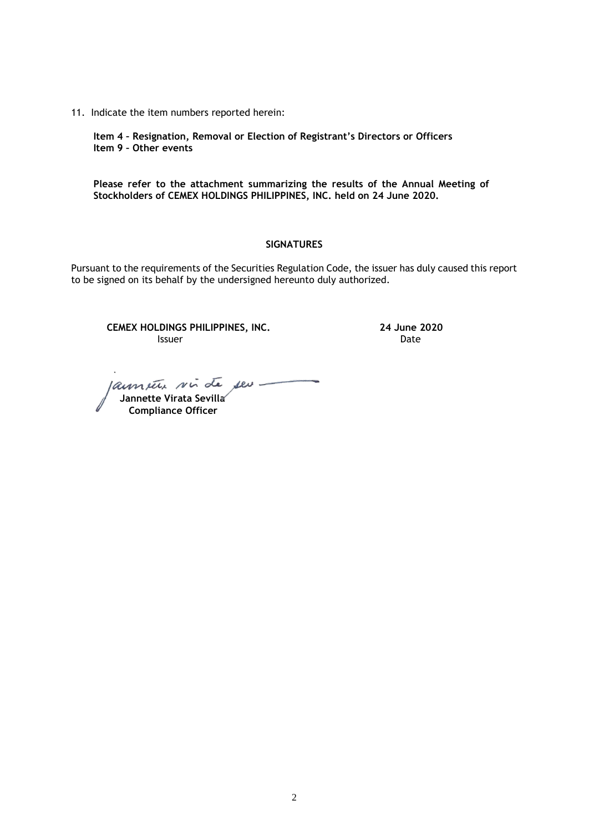11. Indicate the item numbers reported herein:

**Item 4 – Resignation, Removal or Election of Registrant's Directors or Officers Item 9 – Other events**

**Please refer to the attachment summarizing the results of the Annual Meeting of Stockholders of CEMEX HOLDINGS PHILIPPINES, INC. held on 24 June 2020.**

### **SIGNATURES**

Pursuant to the requirements of the Securities Regulation Code, the issuer has duly caused this report to be signed on its behalf by the undersigned hereunto duly authorized.

**CEMEX HOLDINGS PHILIPPINES, INC. 24 June 2020 Issuer Date** 

laument sin de seu -

 **Jannette Virata Sevilla Compliance Officer**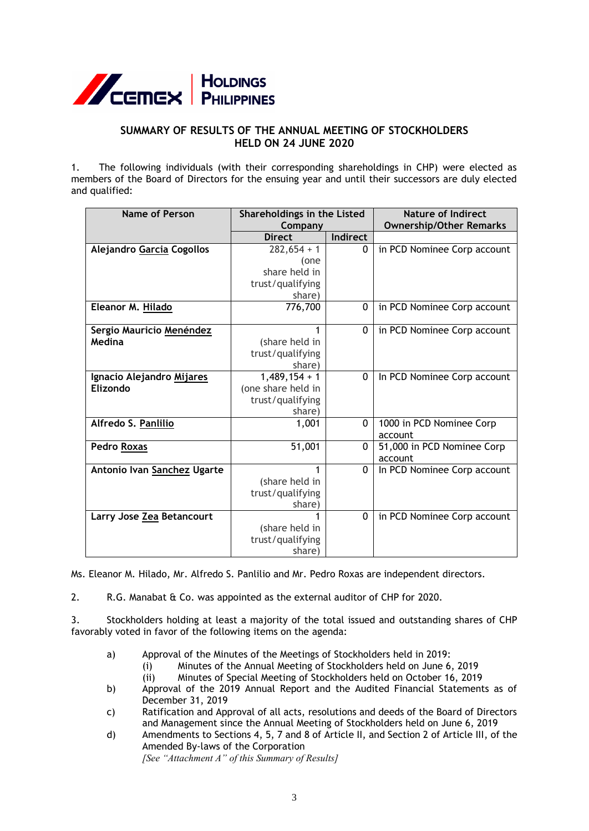

# **SUMMARY OF RESULTS OF THE ANNUAL MEETING OF STOCKHOLDERS HELD ON 24 JUNE 2020**

1. The following individuals (with their corresponding shareholdings in CHP) were elected as members of the Board of Directors for the ensuing year and until their successors are duly elected and qualified:

| <b>Name of Person</b>       | Shareholdings in the Listed |              | <b>Nature of Indirect</b><br><b>Ownership/Other Remarks</b> |
|-----------------------------|-----------------------------|--------------|-------------------------------------------------------------|
|                             | Company<br><b>Direct</b>    | Indirect     |                                                             |
|                             |                             |              |                                                             |
| Alejandro Garcia Cogollos   | $282,654 + 1$               | $\Omega$     | in PCD Nominee Corp account                                 |
|                             | (one                        |              |                                                             |
|                             | share held in               |              |                                                             |
|                             | trust/qualifying            |              |                                                             |
|                             | share)                      |              |                                                             |
| Eleanor M. Hilado           | 776,700                     | $\Omega$     | in PCD Nominee Corp account                                 |
|                             |                             |              |                                                             |
| Sergio Mauricio Menéndez    |                             | 0            | in PCD Nominee Corp account                                 |
| Medina                      | (share held in              |              |                                                             |
|                             | trust/qualifying            |              |                                                             |
|                             | share)                      |              |                                                             |
| Ignacio Alejandro Mijares   | $1,489,154 + 1$             | $\Omega$     | In PCD Nominee Corp account                                 |
| Elizondo                    | (one share held in          |              |                                                             |
|                             | trust/qualifying            |              |                                                             |
|                             | share)                      |              |                                                             |
| Alfredo S. Panlilio         | 1,001                       | $\Omega$     | 1000 in PCD Nominee Corp                                    |
|                             |                             |              | account                                                     |
| <b>Pedro Roxas</b>          | 51,001                      | 0            | 51,000 in PCD Nominee Corp                                  |
|                             |                             |              | account                                                     |
| Antonio Ivan Sanchez Ugarte | 1                           | $\mathbf{0}$ | In PCD Nominee Corp account                                 |
|                             | (share held in              |              |                                                             |
|                             | trust/qualifying            |              |                                                             |
|                             | share)                      |              |                                                             |
| Larry Jose Zea Betancourt   |                             | $\Omega$     | in PCD Nominee Corp account                                 |
|                             | (share held in              |              |                                                             |
|                             |                             |              |                                                             |
|                             | trust/qualifying            |              |                                                             |
|                             | share)                      |              |                                                             |

Ms. Eleanor M. Hilado, Mr. Alfredo S. Panlilio and Mr. Pedro Roxas are independent directors.

2. R.G. Manabat & Co. was appointed as the external auditor of CHP for 2020.

3. Stockholders holding at least a majority of the total issued and outstanding shares of CHP favorably voted in favor of the following items on the agenda:

- a) Approval of the Minutes of the Meetings of Stockholders held in 2019:
	- (i) Minutes of the Annual Meeting of Stockholders held on June 6, 2019 (ii) Minutes of Special Meeting of Stockholders held on October 16, 2019
- b) Approval of the 2019 Annual Report and the Audited Financial Statements as of December 31, 2019
- c) Ratification and Approval of all acts, resolutions and deeds of the Board of Directors and Management since the Annual Meeting of Stockholders held on June 6, 2019
- d) Amendments to Sections 4, 5, 7 and 8 of Article II, and Section 2 of Article III, of the Amended By-laws of the Corporation

*[See "Attachment A" of this Summary of Results]*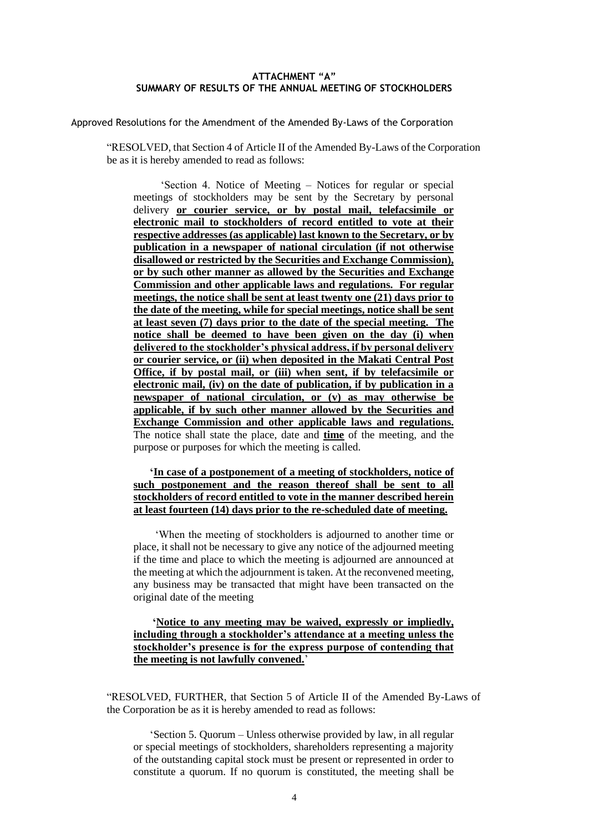### **ATTACHMENT "A" SUMMARY OF RESULTS OF THE ANNUAL MEETING OF STOCKHOLDERS**

Approved Resolutions for the Amendment of the Amended By-Laws of the Corporation

"RESOLVED, that Section 4 of Article II of the Amended By-Laws of the Corporation be as it is hereby amended to read as follows:

 'Section 4. Notice of Meeting – Notices for regular or special meetings of stockholders may be sent by the Secretary by personal delivery **or courier service, or by postal mail, telefacsimile or electronic mail to stockholders of record entitled to vote at their respective addresses (as applicable) last known to the Secretary, or by publication in a newspaper of national circulation (if not otherwise disallowed or restricted by the Securities and Exchange Commission), or by such other manner as allowed by the Securities and Exchange Commission and other applicable laws and regulations. For regular meetings, the notice shall be sent at least twenty one (21) days prior to the date of the meeting, while for special meetings, notice shall be sent at least seven (7) days prior to the date of the special meeting. The notice shall be deemed to have been given on the day (i) when delivered to the stockholder's physical address, if by personal delivery or courier service, or (ii) when deposited in the Makati Central Post Office, if by postal mail, or (iii) when sent, if by telefacsimile or electronic mail, (iv) on the date of publication, if by publication in a newspaper of national circulation, or (v) as may otherwise be applicable, if by such other manner allowed by the Securities and Exchange Commission and other applicable laws and regulations.** The notice shall state the place, date and **time** of the meeting, and the purpose or purposes for which the meeting is called.

 **'In case of a postponement of a meeting of stockholders, notice of such postponement and the reason thereof shall be sent to all stockholders of record entitled to vote in the manner described herein at least fourteen (14) days prior to the re-scheduled date of meeting.** 

 'When the meeting of stockholders is adjourned to another time or place, it shall not be necessary to give any notice of the adjourned meeting if the time and place to which the meeting is adjourned are announced at the meeting at which the adjournment is taken. At the reconvened meeting, any business may be transacted that might have been transacted on the original date of the meeting

# **'Notice to any meeting may be waived, expressly or impliedly, including through a stockholder's attendance at a meeting unless the stockholder's presence is for the express purpose of contending that the meeting is not lawfully convened.**'

"RESOLVED, FURTHER, that Section 5 of Article II of the Amended By-Laws of the Corporation be as it is hereby amended to read as follows:

 'Section 5. Quorum – Unless otherwise provided by law, in all regular or special meetings of stockholders, shareholders representing a majority of the outstanding capital stock must be present or represented in order to constitute a quorum. If no quorum is constituted, the meeting shall be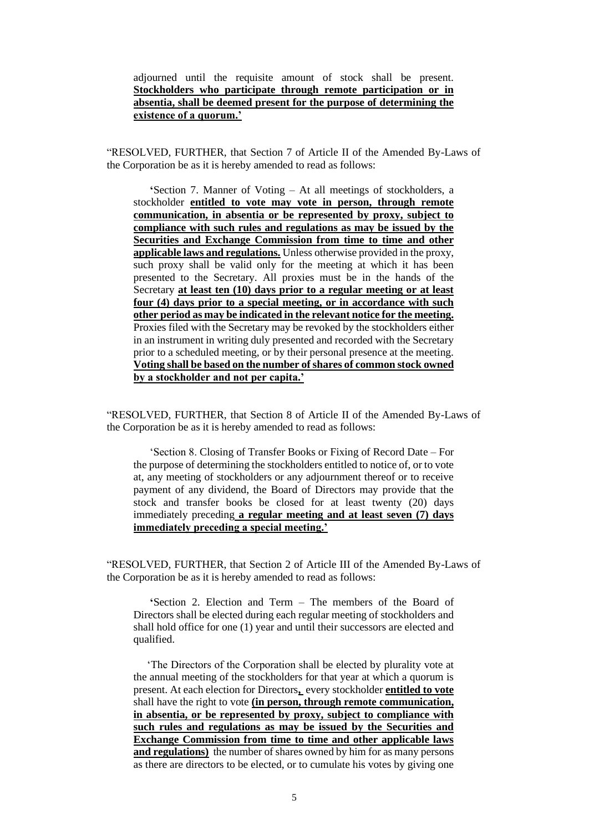## adjourned until the requisite amount of stock shall be present. **Stockholders who participate through remote participation or in absentia, shall be deemed present for the purpose of determining the existence of a quorum.'**

"RESOLVED, FURTHER, that Section 7 of Article II of the Amended By-Laws of the Corporation be as it is hereby amended to read as follows:

 **'**Section 7. Manner of Voting – At all meetings of stockholders, a stockholder **entitled to vote may vote in person, through remote communication, in absentia or be represented by proxy, subject to compliance with such rules and regulations as may be issued by the Securities and Exchange Commission from time to time and other applicable laws and regulations.** Unless otherwise provided in the proxy, such proxy shall be valid only for the meeting at which it has been presented to the Secretary. All proxies must be in the hands of the Secretary **at least ten (10) days prior to a regular meeting or at least four (4) days prior to a special meeting, or in accordance with such other period as may be indicated in the relevant notice for the meeting.** Proxies filed with the Secretary may be revoked by the stockholders either in an instrument in writing duly presented and recorded with the Secretary prior to a scheduled meeting, or by their personal presence at the meeting. **Voting shall be based on the number of shares of common stock owned by a stockholder and not per capita.'**

"RESOLVED, FURTHER, that Section 8 of Article II of the Amended By-Laws of the Corporation be as it is hereby amended to read as follows:

 'Section 8. Closing of Transfer Books or Fixing of Record Date – For the purpose of determining the stockholders entitled to notice of, or to vote at, any meeting of stockholders or any adjournment thereof or to receive payment of any dividend, the Board of Directors may provide that the stock and transfer books be closed for at least twenty (20) days immediately preceding **a regular meeting and at least seven (7) days immediately preceding a special meeting.'**

"RESOLVED, FURTHER, that Section 2 of Article III of the Amended By-Laws of the Corporation be as it is hereby amended to read as follows:

 **'**Section 2. Election and Term – The members of the Board of Directors shall be elected during each regular meeting of stockholders and shall hold office for one (1) year and until their successors are elected and qualified.

 'The Directors of the Corporation shall be elected by plurality vote at the annual meeting of the stockholders for that year at which a quorum is present. At each election for Directors**,** every stockholder **entitled to vote** shall have the right to vote **(in person, through remote communication, in absentia, or be represented by proxy, subject to compliance with such rules and regulations as may be issued by the Securities and Exchange Commission from time to time and other applicable laws and regulations)** the number of shares owned by him for as many persons as there are directors to be elected, or to cumulate his votes by giving one